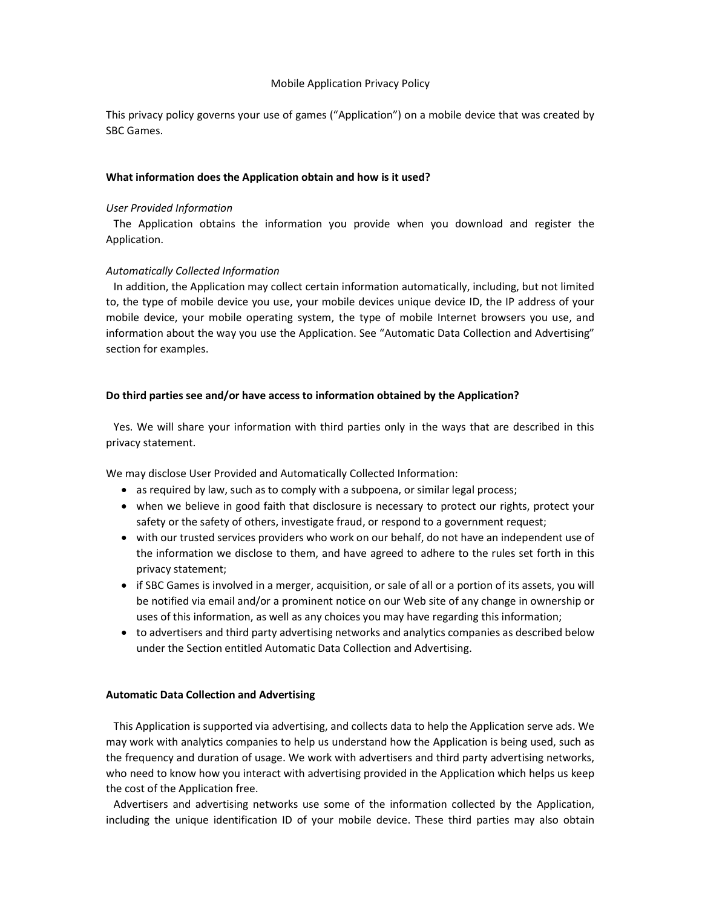## Mobile Application Privacy Policy

This privacy policy governs your use of games ("Application") on a mobile device that was created by SBC Games.

### What information does the Application obtain and how is it used?

### User Provided Information

The Application obtains the information you provide when you download and register the Application.

## Automatically Collected Information

In addition, the Application may collect certain information automatically, including, but not limited to, the type of mobile device you use, your mobile devices unique device ID, the IP address of your mobile device, your mobile operating system, the type of mobile Internet browsers you use, and information about the way you use the Application. See "Automatic Data Collection and Advertising" section for examples.

#### Do third parties see and/or have access to information obtained by the Application?

Yes. We will share your information with third parties only in the ways that are described in this privacy statement.

We may disclose User Provided and Automatically Collected Information:

- as required by law, such as to comply with a subpoena, or similar legal process;
- when we believe in good faith that disclosure is necessary to protect our rights, protect your safety or the safety of others, investigate fraud, or respond to a government request;
- with our trusted services providers who work on our behalf, do not have an independent use of the information we disclose to them, and have agreed to adhere to the rules set forth in this privacy statement;
- if SBC Games is involved in a merger, acquisition, or sale of all or a portion of its assets, you will be notified via email and/or a prominent notice on our Web site of any change in ownership or uses of this information, as well as any choices you may have regarding this information;
- to advertisers and third party advertising networks and analytics companies as described below under the Section entitled Automatic Data Collection and Advertising.

### Automatic Data Collection and Advertising

This Application is supported via advertising, and collects data to help the Application serve ads. We may work with analytics companies to help us understand how the Application is being used, such as the frequency and duration of usage. We work with advertisers and third party advertising networks, who need to know how you interact with advertising provided in the Application which helps us keep the cost of the Application free.

Advertisers and advertising networks use some of the information collected by the Application, including the unique identification ID of your mobile device. These third parties may also obtain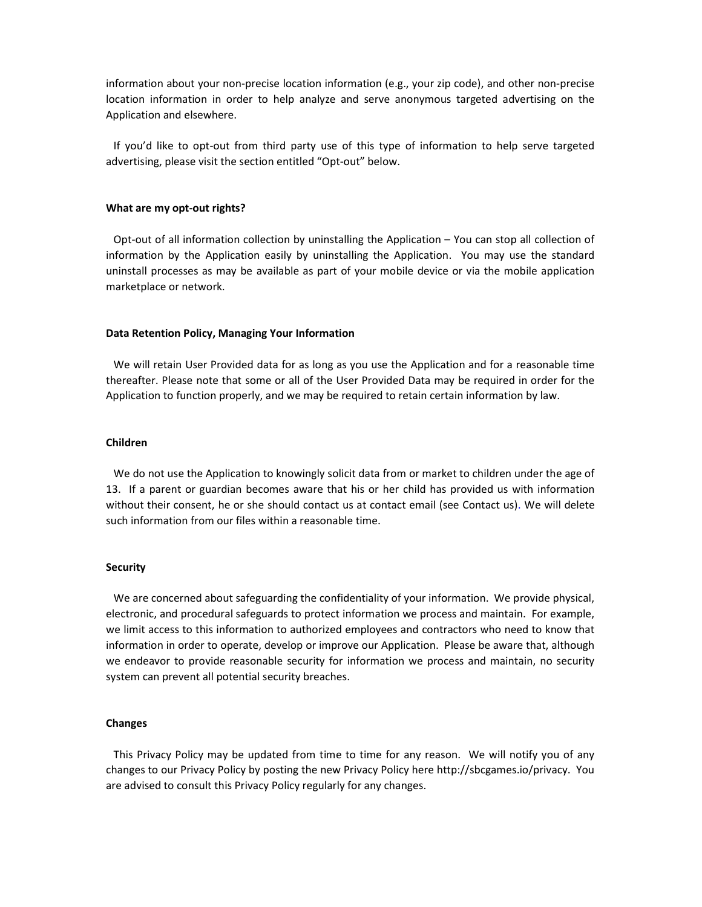information about your non-precise location information (e.g., your zip code), and other non-precise location information in order to help analyze and serve anonymous targeted advertising on the Application and elsewhere.

If you'd like to opt-out from third party use of this type of information to help serve targeted advertising, please visit the section entitled "Opt-out" below.

### What are my opt-out rights?

Opt-out of all information collection by uninstalling the Application – You can stop all collection of information by the Application easily by uninstalling the Application. You may use the standard uninstall processes as may be available as part of your mobile device or via the mobile application marketplace or network.

# Data Retention Policy, Managing Your Information

We will retain User Provided data for as long as you use the Application and for a reasonable time thereafter. Please note that some or all of the User Provided Data may be required in order for the Application to function properly, and we may be required to retain certain information by law.

## Children

We do not use the Application to knowingly solicit data from or market to children under the age of 13. If a parent or guardian becomes aware that his or her child has provided us with information without their consent, he or she should contact us at contact email (see Contact us). We will delete such information from our files within a reasonable time.

## **Security**

We are concerned about safeguarding the confidentiality of your information. We provide physical, electronic, and procedural safeguards to protect information we process and maintain. For example, we limit access to this information to authorized employees and contractors who need to know that information in order to operate, develop or improve our Application. Please be aware that, although we endeavor to provide reasonable security for information we process and maintain, no security system can prevent all potential security breaches.

### Changes

This Privacy Policy may be updated from time to time for any reason. We will notify you of any changes to our Privacy Policy by posting the new Privacy Policy here http://sbcgames.io/privacy. You are advised to consult this Privacy Policy regularly for any changes.